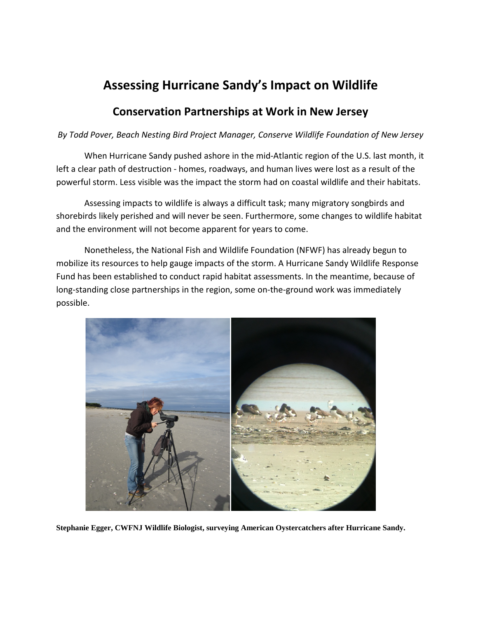## **Assessing Hurricane Sandy's Impact on Wildlife**

## **Conservation Partnerships at Work in New Jersey**

## *By Todd Pover, Beach Nesting Bird Project Manager, Conserve Wildlife Foundation of New Jersey*

When Hurricane Sandy pushed ashore in the mid-Atlantic region of the U.S. last month, it left a clear path of destruction - homes, roadways, and human lives were lost as a result of the powerful storm. Less visible was the impact the storm had on coastal wildlife and their habitats.

Assessing impacts to wildlife is always a difficult task; many migratory songbirds and shorebirds likely perished and will never be seen. Furthermore, some changes to wildlife habitat and the environment will not become apparent for years to come.

Nonetheless, the National Fish and Wildlife Foundation (NFWF) has already begun to mobilize its resources to help gauge impacts of the storm. A Hurricane Sandy Wildlife Response Fund has been established to conduct rapid habitat assessments. In the meantime, because of long-standing close partnerships in the region, some on-the-ground work was immediately possible.



**Stephanie Egger, CWFNJ Wildlife Biologist, surveying American Oystercatchers after Hurricane Sandy.**